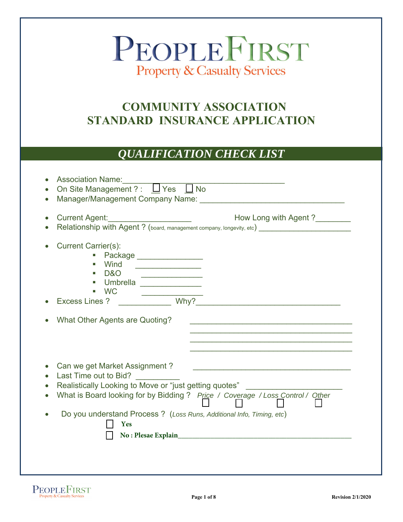# PEOPLEFIRST **Property & Casualty Services**

# **COMMUNITY ASSOCIATION STANDARD INSURANCE APPLICATION**

### *QUALIFICATION CHECK LIST*

|                                                                                                                              | Current Agent: _______________________<br>How Long with Agent ?                                                       |
|------------------------------------------------------------------------------------------------------------------------------|-----------------------------------------------------------------------------------------------------------------------|
|                                                                                                                              | Relationship with Agent? (board, management company, longevity, etc) ______________________________                   |
| <b>Current Carrier(s):</b>                                                                                                   |                                                                                                                       |
| Package ________________                                                                                                     |                                                                                                                       |
| Wind<br><u> 1990 - Johann Stein, mars französischer Amerikanischer Stein und der Antale and der Antale and der Antale an</u> |                                                                                                                       |
| D&O                                                                                                                          |                                                                                                                       |
| Umbrella                                                                                                                     |                                                                                                                       |
| <b>WC</b>                                                                                                                    | Why?                                                                                                                  |
| <b>Excess Lines?</b>                                                                                                         |                                                                                                                       |
| What Other Agents are Quoting?                                                                                               | <u> 1989 - Johann John Stoff, deutscher Stoffen und der Stoffen und der Stoffen und der Stoffen und der Stoffen u</u> |
|                                                                                                                              | <u> 1950 - Johann Johann Stoff, deutscher Stoff und der Stoff und der Stoff und der Stoff und der Stoff und der S</u> |
| Can we get Market Assignment?<br>Last Time out to Bid?                                                                       | <u> 1989 - Johann Barbara, martin amerikan basal dan berasal dan berasal dalam basal dan berasal dan berasal dan</u>  |
| Realistically Looking to Move or "just getting quotes"                                                                       |                                                                                                                       |
|                                                                                                                              | What is Board looking for by Bidding ? Price / Coverage / Loss Control / Other                                        |
|                                                                                                                              |                                                                                                                       |
| Do you understand Process ? (Loss Runs, Additional Info, Timing, etc)                                                        |                                                                                                                       |
| Yes                                                                                                                          |                                                                                                                       |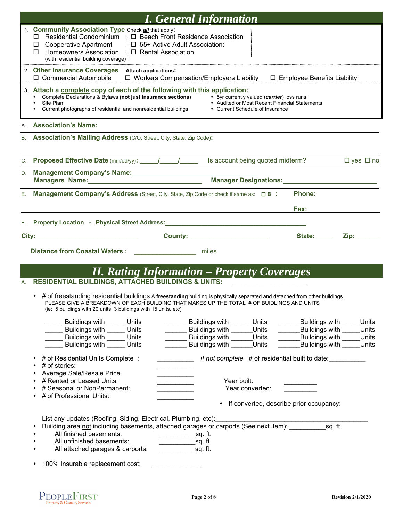|    | <b>I. General Information</b>                                                                                                                                                                                                                                                                                                                               |
|----|-------------------------------------------------------------------------------------------------------------------------------------------------------------------------------------------------------------------------------------------------------------------------------------------------------------------------------------------------------------|
|    | 1. Community Association Type Check all that apply:<br>□ Residential Condominium<br>□ Beach Front Residence Association<br>□ Cooperative Apartment<br>□ 55+ Active Adult Association:<br>□ Homeowners Association<br>□ Rental Association<br>(with residential building coverage)                                                                           |
|    | 2. Other Insurance Coverages Attach applications:<br>$\Box$ Workers Compensation/Employers Liability $\Box$ Employee Benefits Liability<br>□ Commercial Automobile                                                                                                                                                                                          |
|    | 3. Attach a complete copy of each of the following with this application:<br>Complete Declarations & Bylaws (not just insurance sections)<br>• 5yr currently valued (carrier) loss runs<br>Site Plan<br>• Audited or Most Recent Financial Statements<br>Current photographs of residential and nonresidential buildings<br>• Current Schedule of Insurance |
|    | A. Association's Name:                                                                                                                                                                                                                                                                                                                                      |
|    | B. Association's Mailing Address (C/O, Street, City, State, Zip Code):                                                                                                                                                                                                                                                                                      |
|    | C. Proposed Effective Date (mm/dd/yy): 11.12<br>Is account being quoted midterm?<br>$\Box$ yes $\Box$ no                                                                                                                                                                                                                                                    |
|    | D. Management Company's Name: 1997 Manual Management Company's Name:<br>Manager Designations:<br>Manager Designations:<br>Managers Name: Managers Name:                                                                                                                                                                                                     |
| Е. | Phone:<br><b>Management Company's Address</b> (Street, City, State, Zip Code or check if same as: $\Box$ B :                                                                                                                                                                                                                                                |
|    |                                                                                                                                                                                                                                                                                                                                                             |
|    | Fax:                                                                                                                                                                                                                                                                                                                                                        |
| F. | Property Location - Physical Street Address: New York Charles Control of the Charles Charles Charles Charles Charles Charles Charles Charles Charles Charles Charles Charles Charles Charles Charles Charles Charles Charles C                                                                                                                              |
|    | City: the contract of the contract of the contract of the contract of the contract of the contract of the contract of the contract of the contract of the contract of the contract of the contract of the contract of the cont<br>State:<br>Zip: The Solid State State State State State State State State State State State State State State S            |
|    | <b>Distance from Coastal Waters:</b><br>miles                                                                                                                                                                                                                                                                                                               |
|    | <b>II. Rating Information - Property Coverages</b>                                                                                                                                                                                                                                                                                                          |
| Α. | <b>RESIDENTIAL BUILDINGS, ATTACHED BUILDINGS &amp; UNITS:</b>                                                                                                                                                                                                                                                                                               |
|    | • # of freestanding residential buildings A freestanding building is physically separated and detached from other buildings.<br>PLEASE GIVE A BREAKDOWN OF EACH BUILDING THAT MAKES UP THE TOTAL # OF BUIDLINGS AND UNITS<br>(ie: 5 buildings with 20 units, 3 buildings with 15 units, etc)                                                                |
|    | Buildings with Units<br>Buildings with<br>Units<br>Buildings with<br>Units                                                                                                                                                                                                                                                                                  |
|    | Buildings with Units<br>Buildings with<br>Units<br>Buildings with<br>Units<br><b>Buildings with Units</b><br>Buildings with<br>Units<br>Buildings with<br>Units                                                                                                                                                                                             |
|    | Buildings with<br>Buildings with<br><b>Buildings with Units</b><br>Units<br>Units                                                                                                                                                                                                                                                                           |
|    | # of Residential Units Complete:<br><i>if not complete</i> # of residential built to date:<br># of stories:<br>Average Sale/Resale Price                                                                                                                                                                                                                    |
|    | # Rented or Leased Units:<br>Year built:<br><u> 1990 - Johann Barnett, f</u>                                                                                                                                                                                                                                                                                |
|    | # Seasonal or NonPermanent:<br>Year converted:<br># of Professional Units:                                                                                                                                                                                                                                                                                  |
|    | If converted, describe prior occupancy:<br>$\bullet$                                                                                                                                                                                                                                                                                                        |
|    | List any updates (Roofing, Siding, Electrical, Plumbing, etc):                                                                                                                                                                                                                                                                                              |
|    | Building area not including basements, attached garages or carports (See next item): sq. ft.<br>All finished basements:                                                                                                                                                                                                                                     |
|    | All unfinished basements:<br>$\rule{1em}{0.15mm}$ sq. ft.                                                                                                                                                                                                                                                                                                   |
|    | All attached garages & carports:<br>sq. ft.                                                                                                                                                                                                                                                                                                                 |
|    | 100% Insurable replacement cost:                                                                                                                                                                                                                                                                                                                            |
|    |                                                                                                                                                                                                                                                                                                                                                             |

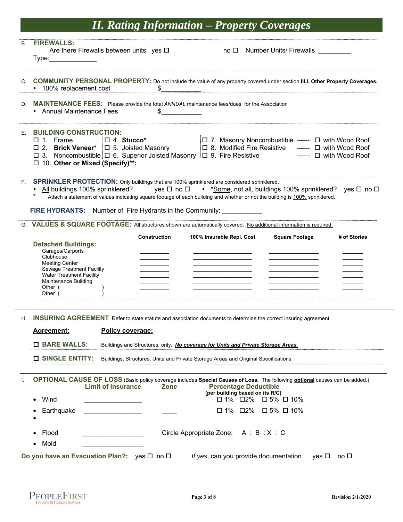# *II. Rating Information – Property Coverages*

| B  | <b>FIREWALLS:</b><br>Are there Firewalls between units: yes $\square$<br>Type:                                                                                                                            |                           |                     |                                                                                     | no □ Number Units/ Firewalls                                                                                                                                                                                                                                   |              |
|----|-----------------------------------------------------------------------------------------------------------------------------------------------------------------------------------------------------------|---------------------------|---------------------|-------------------------------------------------------------------------------------|----------------------------------------------------------------------------------------------------------------------------------------------------------------------------------------------------------------------------------------------------------------|--------------|
|    | C. COMMUNITY PERSONAL PROPERTY: Do not include the value of any property covered under section III.I. Other Property Coverages.<br>• 100% replacement cost                                                |                           | \$                  |                                                                                     |                                                                                                                                                                                                                                                                |              |
|    | D. MAINTENANCE FEES: Please provide the total ANNUAL maintenance fees/dues for the Association<br>• Annual Maintenance Fees                                                                               |                           | \$                  |                                                                                     |                                                                                                                                                                                                                                                                |              |
| F. | <b>BUILDING CONSTRUCTION:</b><br>$\Box$ 1. Frame<br>$\square$ 4. Stucco*<br>$\Box$ 3. Noncombustible $\Box$ 6. Superior Joisted Masonry $\Box$ 9. Fire Resistive<br>□ 10. Other or Mixed (Specify)**:     |                           |                     |                                                                                     | [□ 7. Masonry Noncombustible ------ □ with Wood Roof<br>□ 2. Brick Veneer* □ 5. Joisted Masonry □ 8. Modified Fire Resistive ------ □ with Wood Roof<br>$-- \Box$ with Wood Roof                                                                               |              |
|    | F. SPRINKLER PROTECTION: Only buildings that are 100% sprinklered are considered sprinklered.<br><b>FIRE HYDRANTS:</b> Number of Fire Hydrants in the Community:                                          |                           |                     |                                                                                     | <u>All</u> buildings 100% sprinklered? yes $\Box$ no $\Box$ • *Some, not all, buildings 100% sprinklered? yes $\Box$ no $\Box$<br>Attach a statement of values indicating square footage of each building and whether or not the building is 100% sprinklered. |              |
|    | G. VALUES & SQUARE FOOTAGE: All structures shown are automatically covered. No additional information is required.                                                                                        |                           |                     |                                                                                     |                                                                                                                                                                                                                                                                |              |
|    | <b>Detached Buildings:</b><br>Garages/Carports<br>Clubhouse<br><b>Meeting Center</b><br><b>Sewage Treatment Facility</b><br><b>Water Treatment Facility</b><br>Maintenance Building<br>Other (<br>Other ( |                           | <b>Construction</b> | 100% Insurable Repl. Cost                                                           | <b>Square Footage</b>                                                                                                                                                                                                                                          | # of Stories |
|    | H. INSURING AGREEMENT Refer to state statute and association documents to determine the correct insuring agreement.                                                                                       |                           |                     |                                                                                     |                                                                                                                                                                                                                                                                |              |
|    | <u>Agreement:</u>                                                                                                                                                                                         | Policy coverage:          |                     |                                                                                     |                                                                                                                                                                                                                                                                |              |
|    | <b>O</b> BARE WALLS:                                                                                                                                                                                      |                           |                     | Buildings and Structures, only. No coverage for Units and Private Storage Areas.    |                                                                                                                                                                                                                                                                |              |
|    | <b>O SINGLE ENTITY:</b>                                                                                                                                                                                   |                           |                     | Buildings, Structures, Units and Private Storage Areas and Original Specifications. |                                                                                                                                                                                                                                                                |              |
|    | Wind<br>Earthquake                                                                                                                                                                                        | <b>Limit of Insurance</b> | <b>Zone</b>         | <b>Percentage Deductible</b><br>(per building based on its R/C)<br>□ 1% □2%         | OPTIONAL CAUSE OF LOSS (Basic policy coverage includes Special Causes of Loss. The following <b>optional</b> causes can be added.)<br>$\square$ 1% $\square$ 2% $\square$ 5% $\square$ 10%<br>□ 5% □ 10%                                                       |              |
|    | Flood<br>Mold                                                                                                                                                                                             |                           |                     | Circle Appropriate Zone: A : B : X : C                                              |                                                                                                                                                                                                                                                                |              |
|    | Do you have an Evacuation Plan?: yes $\Box$ no $\Box$                                                                                                                                                     |                           |                     |                                                                                     | If yes, can you provide documentation<br>yes □                                                                                                                                                                                                                 | no $\square$ |

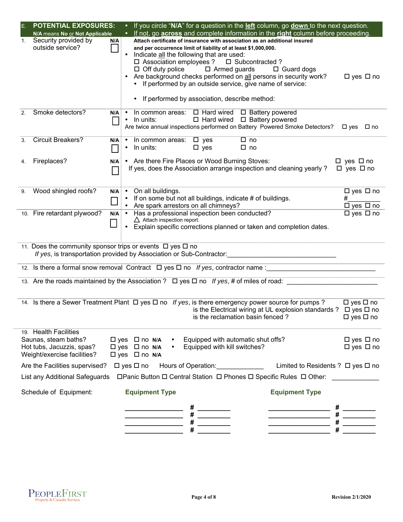| Ε. | <b>POTENTIAL EXPOSURES:</b>                                                                               |                  | If you circle " $N/A$ " for a question in the <b>left</b> column, go <b>down</b> to the next question.<br>$\bullet$ .                                                                                                                                                                                                                                                                                                                                                                                         |                                                   |
|----|-----------------------------------------------------------------------------------------------------------|------------------|---------------------------------------------------------------------------------------------------------------------------------------------------------------------------------------------------------------------------------------------------------------------------------------------------------------------------------------------------------------------------------------------------------------------------------------------------------------------------------------------------------------|---------------------------------------------------|
|    | N/A means No or Not Applicable                                                                            |                  | If not, go across and complete information in the right column before proceeding.                                                                                                                                                                                                                                                                                                                                                                                                                             |                                                   |
| 1. | Security provided by<br>outside service?                                                                  | N/A              | Attach certificate of insurance with association as an additional insured<br>and per occurrence limit of liability of at least \$1,000,000.<br>Indicate all the following that are used:<br>$\bullet$<br>□ Association employees ? □ Subcontracted ?<br>$\Box$ Off duty police $\Box$ Armed guards<br>$\Box$ Guard dogs<br>Are background checks performed on all persons in security work?<br>• If performed by an outside service, give name of service:<br>• If performed by association, describe method: | $\Box$ yes $\Box$ no                              |
| 2. | Smoke detectors?                                                                                          | $N/A$ $\cdot$    | In common areas: $\Box$ Hard wired $\Box$ Battery powered<br>$\Box$ Hard wired $\Box$ Battery powered<br>$\bullet$<br>In units:<br>Are twice annual inspections performed on Battery Powered Smoke Detectors?  □ yes □ no                                                                                                                                                                                                                                                                                     |                                                   |
| 3. | <b>Circuit Breakers?</b>                                                                                  | N/A<br>$\bullet$ | In common areas: $\Box$ yes<br>$\square$ no<br>In units:<br>$\square$ yes<br>$\square$ no                                                                                                                                                                                                                                                                                                                                                                                                                     |                                                   |
| 4. | Fireplaces?                                                                                               | N/A              | • Are there Fire Places or Wood Burning Stoves:<br>If yes, does the Association arrange inspection and cleaning yearly?                                                                                                                                                                                                                                                                                                                                                                                       | $\Box$ yes $\Box$ no<br>$\Box$ yes $\Box$ no      |
| 9. | Wood shingled roofs?                                                                                      |                  | $N/A$ • On all buildings.<br>If on some but not all buildings, indicate # of buildings.<br>$\bullet$                                                                                                                                                                                                                                                                                                                                                                                                          | $\Box$ yes $\Box$ no<br>#<br>$\Box$ yes $\Box$ no |
|    | 10. Fire retardant plywood?<br>11. Does the community sponsor trips or events $\Box$ yes $\Box$ no        | $N/A$ $\bullet$  | $\triangle$ Attach inspection report.<br>Explain specific corrections planned or taken and completion dates.<br>If yes, is transportation provided by Association or Sub-Contractor:                                                                                                                                                                                                                                                                                                                          | $\Box$ yes $\Box$ no                              |
|    |                                                                                                           |                  | 12. Is there a formal snow removal Contract $\Box$ yes $\Box$ no If yes, contractor name:                                                                                                                                                                                                                                                                                                                                                                                                                     |                                                   |
|    |                                                                                                           |                  | 13. Are the roads maintained by the Association ? $\Box$ yes $\Box$ no If yes, # of miles of road:                                                                                                                                                                                                                                                                                                                                                                                                            |                                                   |
|    |                                                                                                           |                  | 14. Is there a Sewer Treatment Plant $\Box$ yes $\Box$ no If yes, is there emergency power source for pumps ?<br>is the Electrical wiring at UL explosion standards ? $\Box$ yes $\Box$ no<br>is the reclamation basin fenced?                                                                                                                                                                                                                                                                                | $\Box$ yes $\Box$ no<br>$\Box$ yes $\Box$ no      |
|    | 19. Health Facilities<br>Saunas, steam baths?<br>Hot tubs, Jacuzzis, spas?<br>Weight/exercise facilities? |                  | Equipped with automatic shut offs?<br>$\Box$ yes $\Box$ no N/A<br>$\square$ yes $\square$ no N/A<br>Equipped with kill switches?<br>$\Box$ yes $\Box$ no N/A                                                                                                                                                                                                                                                                                                                                                  | $\Box$ yes $\Box$ no<br>$\Box$ yes $\Box$ no      |
|    | Are the Facilities supervised?                                                                            |                  | $\Box$ yes $\Box$ no<br>Hours of Operation: <u>Community of Cheapens</u><br>Limited to Residents ? □ yes □ no                                                                                                                                                                                                                                                                                                                                                                                                 |                                                   |
|    | List any Additional Safeguards                                                                            |                  | □ Panic Button □ Central Station □ Phones □ Specific Rules □ Other:                                                                                                                                                                                                                                                                                                                                                                                                                                           |                                                   |
|    | Schedule of Equipment:                                                                                    |                  | <b>Equipment Type</b><br><b>Equipment Type</b>                                                                                                                                                                                                                                                                                                                                                                                                                                                                |                                                   |
|    |                                                                                                           |                  |                                                                                                                                                                                                                                                                                                                                                                                                                                                                                                               |                                                   |
|    |                                                                                                           |                  |                                                                                                                                                                                                                                                                                                                                                                                                                                                                                                               |                                                   |
|    |                                                                                                           |                  |                                                                                                                                                                                                                                                                                                                                                                                                                                                                                                               |                                                   |

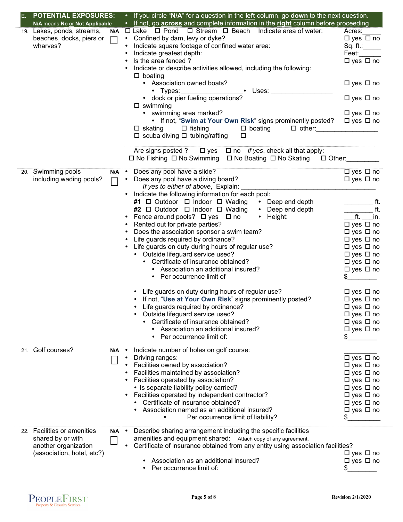| <b>POTENTIAL EXPOSURES:</b><br>E. |                 | • If you circle "N/A" for a question in the left column, go down to the next question.    |                            |
|-----------------------------------|-----------------|-------------------------------------------------------------------------------------------|----------------------------|
| N/A means No or Not Applicable    |                 | • If not, go <b>across</b> and complete information in the right column before proceeding |                            |
| 19. Lakes, ponds, streams,        |                 | $N/A$ $\Box$ Lake $\Box$ Pond $\Box$ Stream $\Box$ Beach Indicate area of water:          | Acres:                     |
| beaches, docks, piers or          |                 | □ • Confined by dam, levy or dyke?                                                        | $\Box$ yes $\Box$ no       |
| wharves?                          |                 | Indicate square footage of confined water area:<br>$\bullet$                              | Sq. ft.:                   |
|                                   |                 | Indicate greatest depth:<br>$\bullet$                                                     | Feet:                      |
|                                   |                 | Is the area fenced?<br>$\bullet$                                                          | $\Box$ yes $\Box$ no       |
|                                   |                 | Indicate or describe activities allowed, including the following:                         |                            |
|                                   |                 | $\square$ boating                                                                         |                            |
|                                   |                 | • Association owned boats?                                                                | $\Box$ yes $\Box$ no       |
|                                   |                 | • Uses: _____________________                                                             |                            |
|                                   |                 | • Types: vertilary operations?                                                            | $\square$ yes $\square$ no |
|                                   |                 | $\square$ swimming                                                                        |                            |
|                                   |                 | • swimming area marked?                                                                   | □ yes □ no                 |
|                                   |                 |                                                                                           |                            |
|                                   |                 | • If not, "Swim at Your Own Risk" signs prominently posted? $\Box$ yes $\Box$ no          |                            |
|                                   |                 | □ skating □ fishing □ boating □ other: ________________                                   |                            |
|                                   |                 | $\square$ scuba diving $\square$ tubing/rafting<br>$\Box$                                 |                            |
|                                   |                 | Are signs posted ? $\Box$ yes $\Box$ no <i>if yes</i> , check all that apply:             |                            |
|                                   |                 | □ No Fishing □ No Swimming □ No Boating □ No Skating □ Other: _____                       |                            |
| 20. Swimming pools                |                 |                                                                                           |                            |
| including wading pools?           | $\Box$          | • Does any pool have a diving board?                                                      | $\Box$ yes $\Box$ no       |
|                                   |                 | If yes to either of above, Explain: ________                                              |                            |
|                                   |                 | • Indicate the following information for each pool:                                       |                            |
|                                   |                 | #1 □ Outdoor □ Indoor □ Wading • Deep end depth                                           | ft.                        |
|                                   |                 |                                                                                           | ft.                        |
|                                   |                 | #2 □ Outdoor □ Indoor □ Wading<br>• Deep end depth                                        |                            |
|                                   |                 | Fence around pools? □ yes □ no<br>$\bullet$ Height:                                       | $-tt.$ in.                 |
|                                   |                 | Rented out for private parties?                                                           | $\Box$ yes $\Box$ no       |
|                                   |                 | Does the association sponsor a swim team?                                                 | $\Box$ yes $\Box$ no       |
|                                   |                 | Life guards required by ordinance?                                                        | $\Box$ yes $\Box$ no       |
|                                   |                 | Life guards on duty during hours of regular use?                                          | $\Box$ yes $\Box$ no       |
|                                   |                 | • Outside lifeguard service used?                                                         | $\Box$ yes $\Box$ no       |
|                                   |                 | • Certificate of insurance obtained?                                                      | $\Box$ yes $\Box$ no       |
|                                   |                 | • Association an additional insured?                                                      | $\Box$ yes $\Box$ no       |
|                                   |                 | • Per occurrence limit of                                                                 |                            |
|                                   |                 | • Life guards on duty during hours of regular use?                                        | $\Box$ yes $\Box$ no       |
|                                   |                 | • If not, "Use at Your Own Risk" signs prominently posted?                                | $\Box$ yes $\Box$ no       |
|                                   |                 | • Life guards required by ordinance?                                                      |                            |
|                                   |                 |                                                                                           | $\Box$ yes $\Box$ no       |
|                                   |                 | Outside lifeguard service used?                                                           | □ yes □ no                 |
|                                   |                 | Certificate of insurance obtained?                                                        | $\square$ yes $\square$ no |
|                                   |                 | Association an additional insured?                                                        | $\Box$ yes $\Box$ no       |
|                                   |                 | Per occurrence limit of:                                                                  | \$                         |
| 21. Golf courses?                 | $N/A$ :         | Indicate number of holes on golf course:                                                  |                            |
|                                   |                 | Driving ranges:                                                                           | $\Box$ yes $\Box$ no       |
|                                   |                 | Facilities owned by association?                                                          | $\Box$ yes $\Box$ no       |
|                                   |                 | Facilities maintained by association?                                                     | $\Box$ yes $\Box$ no       |
|                                   |                 | Facilities operated by association?                                                       | $\Box$ yes $\Box$ no       |
|                                   |                 | • Is separate liability policy carried?                                                   | $\Box$ yes $\Box$ no       |
|                                   |                 | Facilities operated by independent contractor?                                            | $\Box$ yes $\Box$ no       |
|                                   |                 | Certificate of insurance obtained?                                                        | $\square$ yes $\square$ no |
|                                   |                 | Association named as an additional insured?                                               | $\Box$ yes $\Box$ no       |
|                                   |                 | Per occurrence limit of liability?                                                        | \$                         |
|                                   |                 |                                                                                           |                            |
| 22. Facilities or amenities       | $N/A$ $\bullet$ | Describe sharing arrangement including the specific facilities                            |                            |
| shared by or with                 |                 | amenities and equipment shared: Attach copy of any agreement.                             |                            |
| another organization              |                 | Certificate of insurance obtained from any entity using association facilities?           |                            |
| (association, hotel, etc?)        |                 |                                                                                           | $\Box$ yes $\Box$ no       |
|                                   |                 | Association as an additional insured?                                                     | $\Box$ yes $\Box$ no       |
|                                   |                 | Per occurrence limit of:                                                                  |                            |
|                                   |                 |                                                                                           |                            |
|                                   |                 |                                                                                           |                            |
| PEOPLEFIRST                       |                 | Page 5 of 8                                                                               | <b>Revision 2/1/2020</b>   |

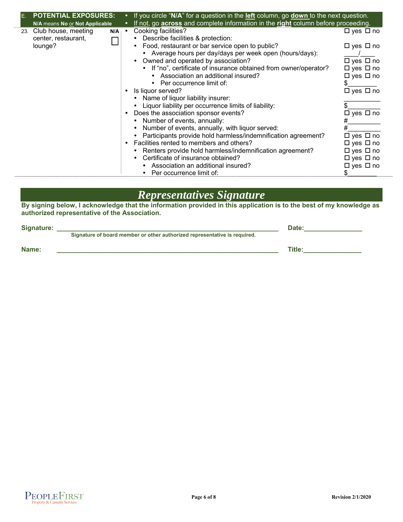| <b>POTENTIAL EXPOSURES:</b><br>E. |                                |           | If you circle " $N/A$ " for a question in the <b><u>left</u></b> column, go <b>down</b> to the next question. |                      |
|-----------------------------------|--------------------------------|-----------|---------------------------------------------------------------------------------------------------------------|----------------------|
|                                   | N/A means No or Not Applicable |           | If not, go across and complete information in the right column before proceeding.                             |                      |
|                                   | 23. Club house, meeting<br>N/A | $\bullet$ | Cooking facilities?                                                                                           | □ yes □ no           |
|                                   | center, restaurant,            |           | Describe facilities & protection:                                                                             |                      |
|                                   | lounge?                        |           | Food, restaurant or bar service open to public?                                                               | $\Box$ yes $\Box$ no |
|                                   |                                |           | Average hours per day/days per week open (hours/days):                                                        |                      |
|                                   |                                |           | Owned and operated by association?                                                                            | $\Box$ yes $\Box$ no |
|                                   |                                |           | • If "no", certificate of insurance obtained from owner/operator?                                             | $\Box$ yes $\Box$ no |
|                                   |                                |           | Association an additional insured?                                                                            | $\Box$ yes $\Box$ no |
|                                   |                                |           | Per occurrence limit of:                                                                                      |                      |
|                                   |                                |           | Is liquor served?                                                                                             | $\Box$ yes $\Box$ no |
|                                   |                                |           | Name of liquor liability insurer:                                                                             |                      |
|                                   |                                |           | Liquor liability per occurrence limits of liability:                                                          |                      |
|                                   |                                |           | Does the association sponsor events?                                                                          | □ yes □ no           |
|                                   |                                |           | Number of events, annually:                                                                                   |                      |
|                                   |                                |           | Number of events, annually, with liquor served:                                                               |                      |
|                                   |                                |           | Participants provide hold harmless/indemnification agreement?                                                 | $\Box$ yes $\Box$ no |
|                                   |                                |           | Facilities rented to members and others?                                                                      | $\Box$ yes $\Box$ no |
|                                   |                                |           | Renters provide hold harmless/indemnification agreement?                                                      | $\Box$ yes $\Box$ no |
|                                   |                                |           | Certificate of insurance obtained?                                                                            | □ yes □ no           |
|                                   |                                |           | Association an additional insured?                                                                            | □ yes □ no           |
|                                   |                                |           | Per occurrence limit of:                                                                                      |                      |

#### *Representatives Signature*

**By signing below, I acknowledge that the information provided in this application is to the best of my knowledge as authorized representative of the Association.** 

| Signature: |                                                                           | Date:         |
|------------|---------------------------------------------------------------------------|---------------|
|            | Signature of board member or other authorized representative is required. |               |
| Name:      |                                                                           | <b>Title:</b> |
|            |                                                                           |               |

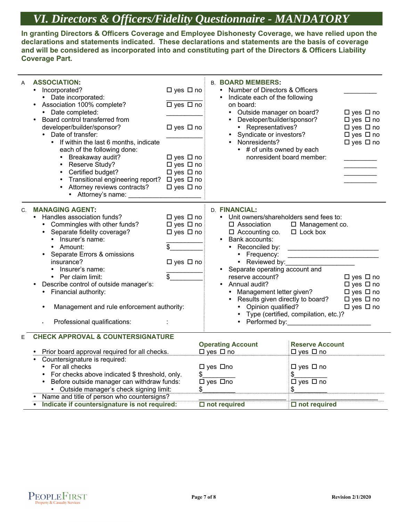# *VI. Directors & Officers/Fidelity Questionnaire - MANDATORY*

**In granting Directors & Officers Coverage and Employee Dishonesty Coverage, we have relied upon the declarations and statements indicated. These declarations and statements are the basis of coverage and will be considered as incorporated into and constituting part of the Directors & Officers Liability Coverage Part.** 

| <b>ASSOCIATION:</b><br>Α<br>Incorporated?<br>$\bullet$<br>• Date incorporated:<br>• Association 100% complete?<br>• Date completed:<br>Board control transferred from<br>developer/builder/sponsor?<br>Date of transfer:<br>• If within the last 6 months, indicate<br>each of the following done:<br>Breakaway audit?<br>$\bullet$<br>Reserve Study?<br>Certified budget?<br>Transitional engineering report? □ yes □ no<br>Attorney reviews contracts?<br>• Attorney's name: | □ yes □ no<br>$\Box$ yes $\Box$ no<br>□ yes □ no<br>□ yes □ no<br>□ yes □ no<br>$\Box$ yes $\Box$ no<br>$\Box$ yes $\Box$ no | <b>B. BOARD MEMBERS:</b><br>Number of Directors & Officers<br>Indicate each of the following<br>on board:<br>Outside manager on board?<br>$\bullet$<br>Developer/builder/sponsor?<br>• Representatives?<br>Syndicate or investors?<br>$\bullet$<br>Nonresidents?<br>• # of units owned by each<br>nonresident board member:                                     |                                                                                                                                                                                               | $\square$ yes $\square$ no<br>$\Box$ yes $\Box$ no<br>□ yes □ no<br>$\Box$ yes $\Box$ no<br>$\Box$ yes $\Box$ no |
|--------------------------------------------------------------------------------------------------------------------------------------------------------------------------------------------------------------------------------------------------------------------------------------------------------------------------------------------------------------------------------------------------------------------------------------------------------------------------------|------------------------------------------------------------------------------------------------------------------------------|-----------------------------------------------------------------------------------------------------------------------------------------------------------------------------------------------------------------------------------------------------------------------------------------------------------------------------------------------------------------|-----------------------------------------------------------------------------------------------------------------------------------------------------------------------------------------------|------------------------------------------------------------------------------------------------------------------|
| <b>MANAGING AGENT:</b><br>$C_{1}$<br>Handles association funds?<br>Commingles with other funds?<br>Separate fidelity coverage?<br>$\bullet$<br>• Insurer's name:<br>• Amount:<br>Separate Errors & omissions<br>insurance?<br>Insurer's name:<br>• Per claim limit:<br>Describe control of outside manager's:<br>Financial authority:<br>Management and rule enforcement authority:<br>Professional qualifications:                                                            | $\Box$ yes $\Box$ no<br>□ yes □ no<br>□ yes □ no<br>\$<br>□ yes □ no<br>\$                                                   | D. FINANCIAL:<br>• Unit owners/shareholders send fees to:<br>□ Association<br>$\Box$ Accounting co.<br>• Bank accounts:<br>• Reconciled by:<br>• Frequency:<br>• Reviewed by:<br>• Separate operating account and<br>reserve account?<br>• Annual audit?<br>Management letter given?<br>$\bullet$<br>• Results given directly to board?<br>• Opinion qualified? | □ Management co.<br>$\Box$ Lock box<br>Type (certified, compilation, etc.)?<br>Performed by: North and Contact the Contact of the Contact of the Contact of the Contact of the Contact of the | $\Box$ yes $\Box$ no<br>□ yes □ no<br>$\Box$ yes $\Box$ no<br>$\Box$ yes $\Box$ no<br>$\Box$ yes $\Box$ no       |
| <b>CHECK APPROVAL &amp; COUNTERSIGNATURE</b><br>Е<br>• Prior board approval required for all checks.<br>• Countersignature is required:<br>• For all checks<br>For checks above indicated \$ threshold, only.<br>Before outside manager can withdraw funds:<br>• Outside manager's check signing limit:<br>Name and title of person who countersigns?<br>• Indicate if countersignature is not required:                                                                       | \$                                                                                                                           | <b>Operating Account</b><br>$\Box$ yes $\Box$ no<br>□ yes □no<br>□ yes □no<br>$\square$ not required                                                                                                                                                                                                                                                            | <b>Reserve Account</b><br>$\Box$ yes $\Box$ no<br>$\Box$ yes $\Box$ no<br>\$<br>$\Box$ yes $\Box$ no<br>\$<br>$\overline{\square}$ not required                                               |                                                                                                                  |